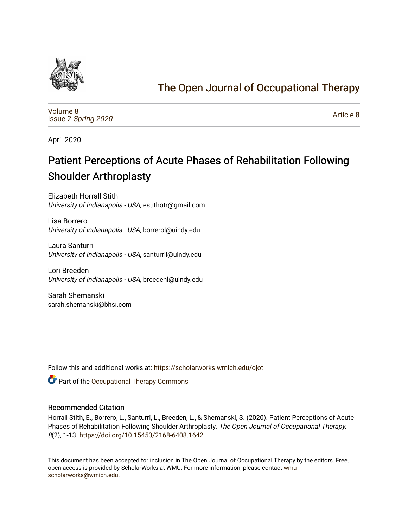

## [The Open Journal of Occupational Therapy](https://scholarworks.wmich.edu/ojot)

[Volume 8](https://scholarworks.wmich.edu/ojot/vol8) Issue 2 [Spring 2020](https://scholarworks.wmich.edu/ojot/vol8/iss2) 

[Article 8](https://scholarworks.wmich.edu/ojot/vol8/iss2/8) 

April 2020

# Patient Perceptions of Acute Phases of Rehabilitation Following Shoulder Arthroplasty

Elizabeth Horrall Stith University of Indianapolis - USA, estithotr@gmail.com

Lisa Borrero University of indianapolis - USA, borrerol@uindy.edu

Laura Santurri University of Indianapolis - USA, santurril@uindy.edu

Lori Breeden University of Indianapolis - USA, breedenl@uindy.edu

Sarah Shemanski sarah.shemanski@bhsi.com

Follow this and additional works at: [https://scholarworks.wmich.edu/ojot](https://scholarworks.wmich.edu/ojot?utm_source=scholarworks.wmich.edu%2Fojot%2Fvol8%2Fiss2%2F8&utm_medium=PDF&utm_campaign=PDFCoverPages)

**C** Part of the Occupational Therapy Commons

#### Recommended Citation

Horrall Stith, E., Borrero, L., Santurri, L., Breeden, L., & Shemanski, S. (2020). Patient Perceptions of Acute Phases of Rehabilitation Following Shoulder Arthroplasty. The Open Journal of Occupational Therapy, 8(2), 1-13.<https://doi.org/10.15453/2168-6408.1642>

This document has been accepted for inclusion in The Open Journal of Occupational Therapy by the editors. Free, open access is provided by ScholarWorks at WMU. For more information, please contact [wmu](mailto:wmu-scholarworks@wmich.edu)[scholarworks@wmich.edu.](mailto:wmu-scholarworks@wmich.edu)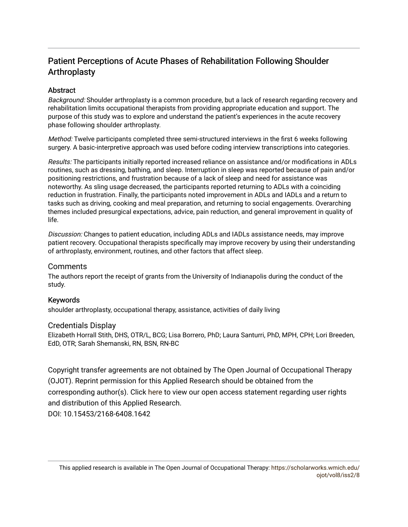## Patient Perceptions of Acute Phases of Rehabilitation Following Shoulder Arthroplasty

## **Abstract**

Background: Shoulder arthroplasty is a common procedure, but a lack of research regarding recovery and rehabilitation limits occupational therapists from providing appropriate education and support. The purpose of this study was to explore and understand the patient's experiences in the acute recovery phase following shoulder arthroplasty.

Method: Twelve participants completed three semi-structured interviews in the first 6 weeks following surgery. A basic-interpretive approach was used before coding interview transcriptions into categories.

Results: The participants initially reported increased reliance on assistance and/or modifications in ADLs routines, such as dressing, bathing, and sleep. Interruption in sleep was reported because of pain and/or positioning restrictions, and frustration because of a lack of sleep and need for assistance was noteworthy. As sling usage decreased, the participants reported returning to ADLs with a coinciding reduction in frustration. Finally, the participants noted improvement in ADLs and IADLs and a return to tasks such as driving, cooking and meal preparation, and returning to social engagements. Overarching themes included presurgical expectations, advice, pain reduction, and general improvement in quality of life.

Discussion: Changes to patient education, including ADLs and IADLs assistance needs, may improve patient recovery. Occupational therapists specifically may improve recovery by using their understanding of arthroplasty, environment, routines, and other factors that affect sleep.

#### Comments

The authors report the receipt of grants from the University of Indianapolis during the conduct of the study.

#### Keywords

shoulder arthroplasty, occupational therapy, assistance, activities of daily living

#### Credentials Display

Elizabeth Horrall Stith, DHS, OTR/L, BCG; Lisa Borrero, PhD; Laura Santurri, PhD, MPH, CPH; Lori Breeden, EdD, OTR; Sarah Shemanski, RN, BSN, RN-BC

Copyright transfer agreements are not obtained by The Open Journal of Occupational Therapy (OJOT). Reprint permission for this Applied Research should be obtained from the corresponding author(s). Click [here](https://scholarworks.wmich.edu/ojot/policies.html#rights) to view our open access statement regarding user rights and distribution of this Applied Research.

DOI: 10.15453/2168-6408.1642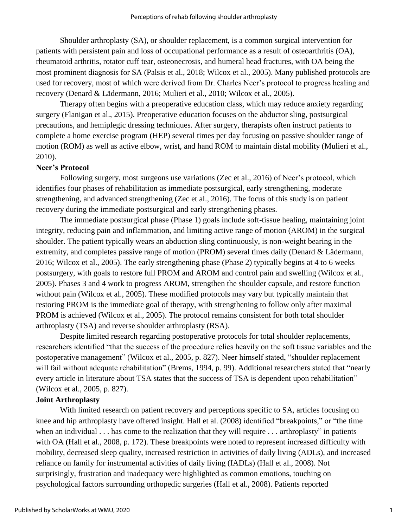Shoulder arthroplasty (SA), or shoulder replacement, is a common surgical intervention for patients with persistent pain and loss of occupational performance as a result of osteoarthritis (OA), rheumatoid arthritis, rotator cuff tear, osteonecrosis, and humeral head fractures, with OA being the most prominent diagnosis for SA (Palsis et al., 2018; Wilcox et al., 2005). Many published protocols are used for recovery, most of which were derived from Dr. Charles Neer's protocol to progress healing and recovery (Denard & Lädermann, 2016; Mulieri et al., 2010; Wilcox et al., 2005).

Therapy often begins with a preoperative education class, which may reduce anxiety regarding surgery (Flanigan et al., 2015). Preoperative education focuses on the abductor sling, postsurgical precautions, and hemiplegic dressing techniques. After surgery, therapists often instruct patients to complete a home exercise program (HEP) several times per day focusing on passive shoulder range of motion (ROM) as well as active elbow, wrist, and hand ROM to maintain distal mobility (Mulieri et al., 2010).

#### **Neer's Protocol**

Following surgery, most surgeons use variations (Zec et al., 2016) of Neer's protocol, which identifies four phases of rehabilitation as immediate postsurgical, early strengthening, moderate strengthening, and advanced strengthening (Zec et al., 2016). The focus of this study is on patient recovery during the immediate postsurgical and early strengthening phases.

The immediate postsurgical phase (Phase 1) goals include soft-tissue healing, maintaining joint integrity, reducing pain and inflammation, and limiting active range of motion (AROM) in the surgical shoulder. The patient typically wears an abduction sling continuously, is non-weight bearing in the extremity, and completes passive range of motion (PROM) several times daily (Denard & Lädermann, 2016; Wilcox et al., 2005). The early strengthening phase (Phase 2) typically begins at 4 to 6 weeks postsurgery, with goals to restore full PROM and AROM and control pain and swelling (Wilcox et al., 2005). Phases 3 and 4 work to progress AROM, strengthen the shoulder capsule, and restore function without pain (Wilcox et al., 2005). These modified protocols may vary but typically maintain that restoring PROM is the immediate goal of therapy, with strengthening to follow only after maximal PROM is achieved (Wilcox et al., 2005). The protocol remains consistent for both total shoulder arthroplasty (TSA) and reverse shoulder arthroplasty (RSA).

Despite limited research regarding postoperative protocols for total shoulder replacements, researchers identified "that the success of the procedure relies heavily on the soft tissue variables and the postoperative management" (Wilcox et al., 2005, p. 827). Neer himself stated, "shoulder replacement will fail without adequate rehabilitation" (Brems, 1994, p. 99). Additional researchers stated that "nearly every article in literature about TSA states that the success of TSA is dependent upon rehabilitation" (Wilcox et al., 2005, p. 827).

#### **Joint Arthroplasty**

With limited research on patient recovery and perceptions specific to SA, articles focusing on knee and hip arthroplasty have offered insight. Hall et al. (2008) identified "breakpoints," or "the time when an individual . . . has come to the realization that they will require . . . arthroplasty" in patients with OA (Hall et al., 2008, p. 172). These breakpoints were noted to represent increased difficulty with mobility, decreased sleep quality, increased restriction in activities of daily living (ADLs), and increased reliance on family for instrumental activities of daily living (IADLs) (Hall et al., 2008). Not surprisingly, frustration and inadequacy were highlighted as common emotions, touching on psychological factors surrounding orthopedic surgeries (Hall et al., 2008). Patients reported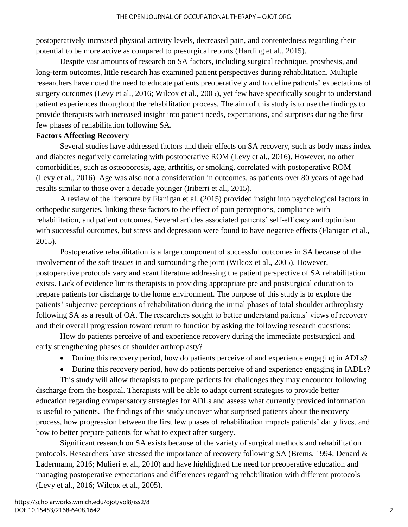postoperatively increased physical activity levels, decreased pain, and contentedness regarding their potential to be more active as compared to presurgical reports (Harding et al., 2015).

Despite vast amounts of research on SA factors, including surgical technique, prosthesis, and long-term outcomes, little research has examined patient perspectives during rehabilitation. Multiple researchers have noted the need to educate patients preoperatively and to define patients' expectations of surgery outcomes (Levy et al., 2016; Wilcox et al., 2005), yet few have specifically sought to understand patient experiences throughout the rehabilitation process. The aim of this study is to use the findings to provide therapists with increased insight into patient needs, expectations, and surprises during the first few phases of rehabilitation following SA.

#### **Factors Affecting Recovery**

Several studies have addressed factors and their effects on SA recovery, such as body mass index and diabetes negatively correlating with postoperative ROM (Levy et al., 2016). However, no other comorbidities, such as osteoporosis, age, arthritis, or smoking, correlated with postoperative ROM (Levy et al., 2016). Age was also not a consideration in outcomes, as patients over 80 years of age had results similar to those over a decade younger (Iriberri et al., 2015).

A review of the literature by Flanigan et al. (2015) provided insight into psychological factors in orthopedic surgeries, linking these factors to the effect of pain perceptions, compliance with rehabilitation, and patient outcomes. Several articles associated patients' self-efficacy and optimism with successful outcomes, but stress and depression were found to have negative effects (Flanigan et al., 2015).

Postoperative rehabilitation is a large component of successful outcomes in SA because of the involvement of the soft tissues in and surrounding the joint (Wilcox et al., 2005). However, postoperative protocols vary and scant literature addressing the patient perspective of SA rehabilitation exists. Lack of evidence limits therapists in providing appropriate pre and postsurgical education to prepare patients for discharge to the home environment. The purpose of this study is to explore the patients' subjective perceptions of rehabilitation during the initial phases of total shoulder arthroplasty following SA as a result of OA. The researchers sought to better understand patients' views of recovery and their overall progression toward return to function by asking the following research questions:

How do patients perceive of and experience recovery during the immediate postsurgical and early strengthening phases of shoulder arthroplasty?

- During this recovery period, how do patients perceive of and experience engaging in ADLs?
- During this recovery period, how do patients perceive of and experience engaging in IADLs?

This study will allow therapists to prepare patients for challenges they may encounter following discharge from the hospital. Therapists will be able to adapt current strategies to provide better education regarding compensatory strategies for ADLs and assess what currently provided information is useful to patients. The findings of this study uncover what surprised patients about the recovery process, how progression between the first few phases of rehabilitation impacts patients' daily lives, and how to better prepare patients for what to expect after surgery.

Significant research on SA exists because of the variety of surgical methods and rehabilitation protocols. Researchers have stressed the importance of recovery following SA (Brems, 1994; Denard & Lädermann, 2016; Mulieri et al., 2010) and have highlighted the need for preoperative education and managing postoperative expectations and differences regarding rehabilitation with different protocols (Levy et al., 2016; Wilcox et al., 2005).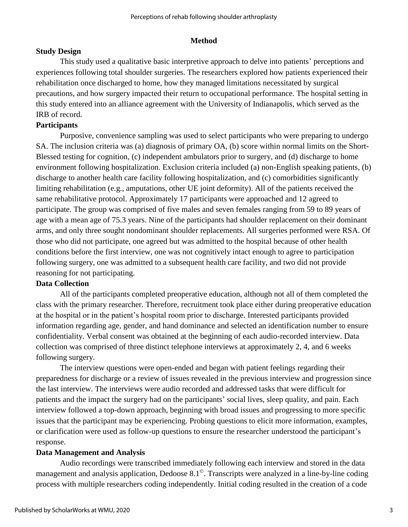#### **Method**

## **Study Design**

This study used a qualitative basic interpretive approach to delve into patients' perceptions and experiences following total shoulder surgeries. The researchers explored how patients experienced their rehabilitation once discharged to home, how they managed limitations necessitated by surgical precautions, and how surgery impacted their return to occupational performance. The hospital setting in this study entered into an alliance agreement with the University of Indianapolis, which served as the IRB of record.

## **Participants**

Purposive, convenience sampling was used to select participants who were preparing to undergo SA. The inclusion criteria was (a) diagnosis of primary OA, (b) score within normal limits on the Short-Blessed testing for cognition, (c) independent ambulators prior to surgery, and (d) discharge to home environment following hospitalization. Exclusion criteria included (a) non-English speaking patients, (b) discharge to another health care facility following hospitalization, and (c) comorbidities significantly limiting rehabilitation (e.g., amputations, other UE joint deformity). All of the patients received the same rehabilitative protocol. Approximately 17 participants were approached and 12 agreed to participate. The group was comprised of five males and seven females ranging from 59 to 89 years of age with a mean age of 75.3 years. Nine of the participants had shoulder replacement on their dominant arms, and only three sought nondominant shoulder replacements. All surgeries performed were RSA. Of those who did not participate, one agreed but was admitted to the hospital because of other health conditions before the first interview, one was not cognitively intact enough to agree to participation following surgery, one was admitted to a subsequent health care facility, and two did not provide reasoning for not participating.

## **Data Collection**

All of the participants completed preoperative education, although not all of them completed the class with the primary researcher. Therefore, recruitment took place either during preoperative education at the hospital or in the patient's hospital room prior to discharge. Interested participants provided information regarding age, gender, and hand dominance and selected an identification number to ensure confidentiality. Verbal consent was obtained at the beginning of each audio-recorded interview. Data collection was comprised of three distinct telephone interviews at approximately 2, 4, and 6 weeks following surgery.

The interview questions were open-ended and began with patient feelings regarding their preparedness for discharge or a review of issues revealed in the previous interview and progression since the last interview. The interviews were audio recorded and addressed tasks that were difficult for patients and the impact the surgery had on the participants' social lives, sleep quality, and pain. Each interview followed a top-down approach, beginning with broad issues and progressing to more specific issues that the participant may be experiencing. Probing questions to elicit more information, examples, or clarification were used as follow-up questions to ensure the researcher understood the participant's response.

#### **Data Management and Analysis**

Audio recordings were transcribed immediately following each interview and stored in the data management and analysis application, Dedoose 8.1©. Transcripts were analyzed in a line-by-line coding process with multiple researchers coding independently. Initial coding resulted in the creation of a code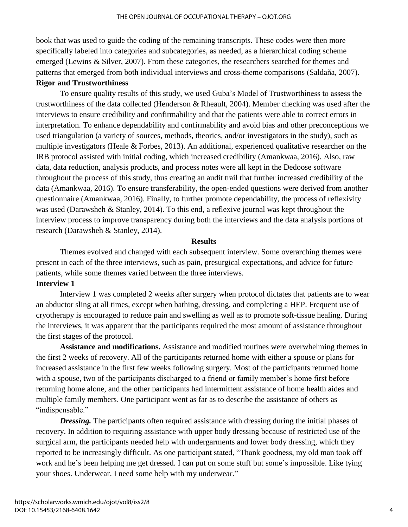book that was used to guide the coding of the remaining transcripts. These codes were then more specifically labeled into categories and subcategories, as needed, as a hierarchical coding scheme emerged (Lewins & Silver, 2007). From these categories, the researchers searched for themes and patterns that emerged from both individual interviews and cross-theme comparisons (Saldaña, 2007).

#### **Rigor and Trustworthiness**

To ensure quality results of this study, we used Guba's Model of Trustworthiness to assess the trustworthiness of the data collected (Henderson & Rheault, 2004). Member checking was used after the interviews to ensure credibility and confirmability and that the patients were able to correct errors in interpretation. To enhance dependability and confirmability and avoid bias and other preconceptions we used triangulation (a variety of sources, methods, theories, and/or investigators in the study), such as multiple investigators (Heale & Forbes, 2013). An additional, experienced qualitative researcher on the IRB protocol assisted with initial coding, which increased credibility (Amankwaa, 2016). Also, raw data, data reduction, analysis products, and process notes were all kept in the Dedoose software throughout the process of this study, thus creating an audit trail that further increased credibility of the data (Amankwaa, 2016). To ensure transferability, the open-ended questions were derived from another questionnaire (Amankwaa, 2016). Finally, to further promote dependability, the process of reflexivity was used (Darawsheh & Stanley, 2014). To this end, a reflexive journal was kept throughout the interview process to improve transparency during both the interviews and the data analysis portions of research (Darawsheh & Stanley, 2014).

#### **Results**

Themes evolved and changed with each subsequent interview. Some overarching themes were present in each of the three interviews, such as pain, presurgical expectations, and advice for future patients, while some themes varied between the three interviews.

#### **Interview 1**

Interview 1 was completed 2 weeks after surgery when protocol dictates that patients are to wear an abductor sling at all times, except when bathing, dressing, and completing a HEP. Frequent use of cryotherapy is encouraged to reduce pain and swelling as well as to promote soft-tissue healing. During the interviews, it was apparent that the participants required the most amount of assistance throughout the first stages of the protocol.

**Assistance and modifications.** Assistance and modified routines were overwhelming themes in the first 2 weeks of recovery. All of the participants returned home with either a spouse or plans for increased assistance in the first few weeks following surgery. Most of the participants returned home with a spouse, two of the participants discharged to a friend or family member's home first before returning home alone, and the other participants had intermittent assistance of home health aides and multiple family members. One participant went as far as to describe the assistance of others as "indispensable."

**Dressing.** The participants often required assistance with dressing during the initial phases of recovery. In addition to requiring assistance with upper body dressing because of restricted use of the surgical arm, the participants needed help with undergarments and lower body dressing, which they reported to be increasingly difficult. As one participant stated, "Thank goodness, my old man took off work and he's been helping me get dressed. I can put on some stuff but some's impossible. Like tying your shoes. Underwear. I need some help with my underwear."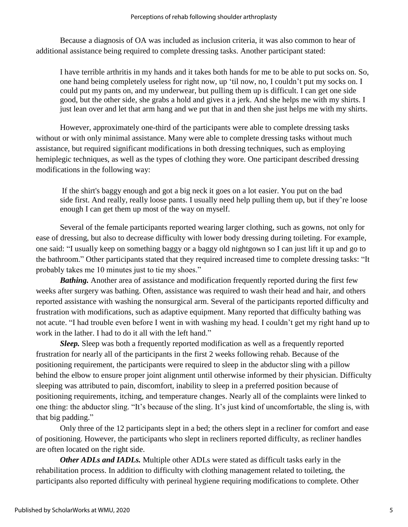Because a diagnosis of OA was included as inclusion criteria, it was also common to hear of additional assistance being required to complete dressing tasks. Another participant stated:

I have terrible arthritis in my hands and it takes both hands for me to be able to put socks on. So, one hand being completely useless for right now, up 'til now, no, I couldn't put my socks on. I could put my pants on, and my underwear, but pulling them up is difficult. I can get one side good, but the other side, she grabs a hold and gives it a jerk. And she helps me with my shirts. I just lean over and let that arm hang and we put that in and then she just helps me with my shirts.

However, approximately one-third of the participants were able to complete dressing tasks without or with only minimal assistance. Many were able to complete dressing tasks without much assistance, but required significant modifications in both dressing techniques, such as employing hemiplegic techniques, as well as the types of clothing they wore. One participant described dressing modifications in the following way:

If the shirt's baggy enough and got a big neck it goes on a lot easier. You put on the bad side first. And really, really loose pants. I usually need help pulling them up, but if they're loose enough I can get them up most of the way on myself.

Several of the female participants reported wearing larger clothing, such as gowns, not only for ease of dressing, but also to decrease difficulty with lower body dressing during toileting. For example, one said: "I usually keep on something baggy or a baggy old nightgown so I can just lift it up and go to the bathroom." Other participants stated that they required increased time to complete dressing tasks: "It probably takes me 10 minutes just to tie my shoes."

*Bathing.* Another area of assistance and modification frequently reported during the first few weeks after surgery was bathing. Often, assistance was required to wash their head and hair, and others reported assistance with washing the nonsurgical arm. Several of the participants reported difficulty and frustration with modifications, such as adaptive equipment. Many reported that difficulty bathing was not acute. "I had trouble even before I went in with washing my head. I couldn't get my right hand up to work in the lather. I had to do it all with the left hand."

*Sleep.* Sleep was both a frequently reported modification as well as a frequently reported frustration for nearly all of the participants in the first 2 weeks following rehab. Because of the positioning requirement, the participants were required to sleep in the abductor sling with a pillow behind the elbow to ensure proper joint alignment until otherwise informed by their physician. Difficulty sleeping was attributed to pain, discomfort, inability to sleep in a preferred position because of positioning requirements, itching, and temperature changes. Nearly all of the complaints were linked to one thing: the abductor sling. "It's because of the sling. It's just kind of uncomfortable, the sling is, with that big padding."

Only three of the 12 participants slept in a bed; the others slept in a recliner for comfort and ease of positioning. However, the participants who slept in recliners reported difficulty, as recliner handles are often located on the right side.

*Other ADLs and IADLs.* Multiple other ADLs were stated as difficult tasks early in the rehabilitation process. In addition to difficulty with clothing management related to toileting, the participants also reported difficulty with perineal hygiene requiring modifications to complete. Other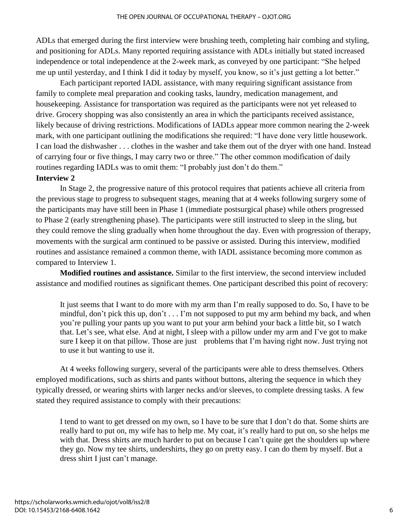ADLs that emerged during the first interview were brushing teeth, completing hair combing and styling, and positioning for ADLs. Many reported requiring assistance with ADLs initially but stated increased independence or total independence at the 2-week mark, as conveyed by one participant: "She helped me up until yesterday, and I think I did it today by myself, you know, so it's just getting a lot better."

Each participant reported IADL assistance, with many requiring significant assistance from family to complete meal preparation and cooking tasks, laundry, medication management, and housekeeping. Assistance for transportation was required as the participants were not yet released to drive. Grocery shopping was also consistently an area in which the participants received assistance, likely because of driving restrictions. Modifications of IADLs appear more common nearing the 2-week mark, with one participant outlining the modifications she required: "I have done very little housework. I can load the dishwasher . . . clothes in the washer and take them out of the dryer with one hand. Instead of carrying four or five things, I may carry two or three." The other common modification of daily routines regarding IADLs was to omit them: "I probably just don't do them."

### **Interview 2**

In Stage 2, the progressive nature of this protocol requires that patients achieve all criteria from the previous stage to progress to subsequent stages, meaning that at 4 weeks following surgery some of the participants may have still been in Phase 1 (immediate postsurgical phase) while others progressed to Phase 2 (early strengthening phase). The participants were still instructed to sleep in the sling, but they could remove the sling gradually when home throughout the day. Even with progression of therapy, movements with the surgical arm continued to be passive or assisted. During this interview, modified routines and assistance remained a common theme, with IADL assistance becoming more common as compared to Interview 1.

**Modified routines and assistance.** Similar to the first interview, the second interview included assistance and modified routines as significant themes. One participant described this point of recovery:

It just seems that I want to do more with my arm than I'm really supposed to do. So, I have to be mindful, don't pick this up, don't . . . I'm not supposed to put my arm behind my back, and when you're pulling your pants up you want to put your arm behind your back a little bit, so I watch that. Let's see, what else. And at night, I sleep with a pillow under my arm and I've got to make sure I keep it on that pillow. Those are just problems that I'm having right now. Just trying not to use it but wanting to use it.

At 4 weeks following surgery, several of the participants were able to dress themselves. Others employed modifications, such as shirts and pants without buttons, altering the sequence in which they typically dressed, or wearing shirts with larger necks and/or sleeves, to complete dressing tasks. A few stated they required assistance to comply with their precautions:

I tend to want to get dressed on my own, so I have to be sure that I don't do that. Some shirts are really hard to put on, my wife has to help me. My coat, it's really hard to put on, so she helps me with that. Dress shirts are much harder to put on because I can't quite get the shoulders up where they go. Now my tee shirts, undershirts, they go on pretty easy. I can do them by myself. But a dress shirt I just can't manage.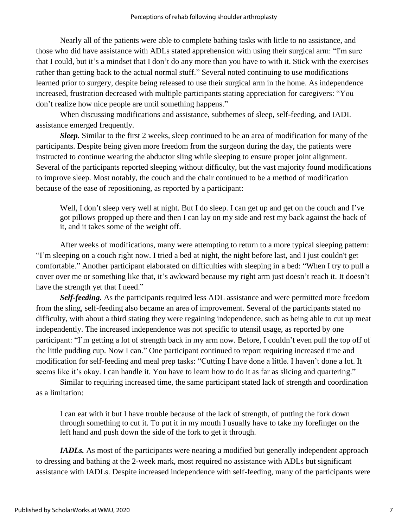Nearly all of the patients were able to complete bathing tasks with little to no assistance, and those who did have assistance with ADLs stated apprehension with using their surgical arm: "I'm sure that I could, but it's a mindset that I don't do any more than you have to with it. Stick with the exercises rather than getting back to the actual normal stuff." Several noted continuing to use modifications learned prior to surgery, despite being released to use their surgical arm in the home. As independence increased, frustration decreased with multiple participants stating appreciation for caregivers: "You don't realize how nice people are until something happens."

When discussing modifications and assistance, subthemes of sleep, self-feeding, and IADL assistance emerged frequently.

*Sleep.* Similar to the first 2 weeks, sleep continued to be an area of modification for many of the participants. Despite being given more freedom from the surgeon during the day, the patients were instructed to continue wearing the abductor sling while sleeping to ensure proper joint alignment. Several of the participants reported sleeping without difficulty, but the vast majority found modifications to improve sleep. Most notably, the couch and the chair continued to be a method of modification because of the ease of repositioning, as reported by a participant:

Well, I don't sleep very well at night. But I do sleep. I can get up and get on the couch and I've got pillows propped up there and then I can lay on my side and rest my back against the back of it, and it takes some of the weight off.

After weeks of modifications, many were attempting to return to a more typical sleeping pattern: "I'm sleeping on a couch right now. I tried a bed at night, the night before last, and I just couldn't get comfortable." Another participant elaborated on difficulties with sleeping in a bed: "When I try to pull a cover over me or something like that, it's awkward because my right arm just doesn't reach it. It doesn't have the strength yet that I need."

*Self-feeding.* As the participants required less ADL assistance and were permitted more freedom from the sling, self-feeding also became an area of improvement. Several of the participants stated no difficulty, with about a third stating they were regaining independence, such as being able to cut up meat independently. The increased independence was not specific to utensil usage, as reported by one participant: "I'm getting a lot of strength back in my arm now. Before, I couldn't even pull the top off of the little pudding cup. Now I can." One participant continued to report requiring increased time and modification for self-feeding and meal prep tasks: "Cutting I have done a little. I haven't done a lot. It seems like it's okay. I can handle it. You have to learn how to do it as far as slicing and quartering."

Similar to requiring increased time, the same participant stated lack of strength and coordination as a limitation:

I can eat with it but I have trouble because of the lack of strength, of putting the fork down through something to cut it. To put it in my mouth I usually have to take my forefinger on the left hand and push down the side of the fork to get it through.

*IADLs*. As most of the participants were nearing a modified but generally independent approach to dressing and bathing at the 2-week mark, most required no assistance with ADLs but significant assistance with IADLs. Despite increased independence with self-feeding, many of the participants were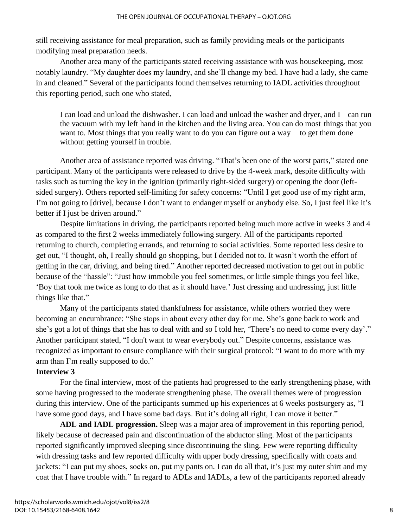still receiving assistance for meal preparation, such as family providing meals or the participants modifying meal preparation needs.

Another area many of the participants stated receiving assistance with was housekeeping, most notably laundry. "My daughter does my laundry, and she'll change my bed. I have had a lady, she came in and cleaned." Several of the participants found themselves returning to IADL activities throughout this reporting period, such one who stated,

I can load and unload the dishwasher. I can load and unload the washer and dryer, and I can run the vacuum with my left hand in the kitchen and the living area. You can do most things that you want to. Most things that you really want to do you can figure out a way to get them done without getting yourself in trouble.

Another area of assistance reported was driving. "That's been one of the worst parts," stated one participant. Many of the participants were released to drive by the 4-week mark, despite difficulty with tasks such as turning the key in the ignition (primarily right-sided surgery) or opening the door (leftsided surgery). Others reported self-limiting for safety concerns: "Until I get good use of my right arm, I'm not going to [drive], because I don't want to endanger myself or anybody else. So, I just feel like it's better if I just be driven around."

Despite limitations in driving, the participants reported being much more active in weeks 3 and 4 as compared to the first 2 weeks immediately following surgery. All of the participants reported returning to church, completing errands, and returning to social activities. Some reported less desire to get out, "I thought, oh, I really should go shopping, but I decided not to. It wasn't worth the effort of getting in the car, driving, and being tired." Another reported decreased motivation to get out in public because of the "hassle": "Just how immobile you feel sometimes, or little simple things you feel like, 'Boy that took me twice as long to do that as it should have.' Just dressing and undressing, just little things like that."

Many of the participants stated thankfulness for assistance, while others worried they were becoming an encumbrance: "She stops in about every other day for me. She's gone back to work and she's got a lot of things that she has to deal with and so I told her, 'There's no need to come every day'." Another participant stated, "I don't want to wear everybody out." Despite concerns, assistance was recognized as important to ensure compliance with their surgical protocol: "I want to do more with my arm than I'm really supposed to do."

#### **Interview 3**

For the final interview, most of the patients had progressed to the early strengthening phase, with some having progressed to the moderate strengthening phase. The overall themes were of progression during this interview. One of the participants summed up his experiences at 6 weeks postsurgery as, "I have some good days, and I have some bad days. But it's doing all right, I can move it better."

**ADL and IADL progression.** Sleep was a major area of improvement in this reporting period, likely because of decreased pain and discontinuation of the abductor sling. Most of the participants reported significantly improved sleeping since discontinuing the sling. Few were reporting difficulty with dressing tasks and few reported difficulty with upper body dressing, specifically with coats and jackets: "I can put my shoes, socks on, put my pants on. I can do all that, it's just my outer shirt and my coat that I have trouble with." In regard to ADLs and IADLs, a few of the participants reported already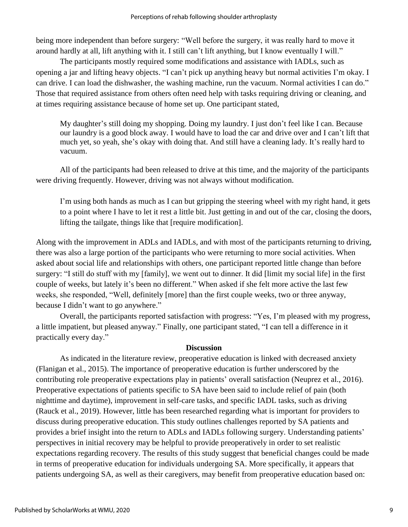being more independent than before surgery: "Well before the surgery, it was really hard to move it around hardly at all, lift anything with it. I still can't lift anything, but I know eventually I will."

The participants mostly required some modifications and assistance with IADLs, such as opening a jar and lifting heavy objects. "I can't pick up anything heavy but normal activities I'm okay. I can drive. I can load the dishwasher, the washing machine, run the vacuum. Normal activities I can do." Those that required assistance from others often need help with tasks requiring driving or cleaning, and at times requiring assistance because of home set up. One participant stated,

My daughter's still doing my shopping. Doing my laundry. I just don't feel like I can. Because our laundry is a good block away. I would have to load the car and drive over and I can't lift that much yet, so yeah, she's okay with doing that. And still have a cleaning lady. It's really hard to vacuum.

All of the participants had been released to drive at this time, and the majority of the participants were driving frequently. However, driving was not always without modification.

I'm using both hands as much as I can but gripping the steering wheel with my right hand, it gets to a point where I have to let it rest a little bit. Just getting in and out of the car, closing the doors, lifting the tailgate, things like that [require modification].

Along with the improvement in ADLs and IADLs, and with most of the participants returning to driving, there was also a large portion of the participants who were returning to more social activities. When asked about social life and relationships with others, one participant reported little change than before surgery: "I still do stuff with my [family], we went out to dinner. It did [limit my social life] in the first couple of weeks, but lately it's been no different." When asked if she felt more active the last few weeks, she responded, "Well, definitely [more] than the first couple weeks, two or three anyway, because I didn't want to go anywhere."

Overall, the participants reported satisfaction with progress: "Yes, I'm pleased with my progress, a little impatient, but pleased anyway." Finally, one participant stated, "I can tell a difference in it practically every day."

## **Discussion**

As indicated in the literature review, preoperative education is linked with decreased anxiety (Flanigan et al., 2015). The importance of preoperative education is further underscored by the contributing role preoperative expectations play in patients' overall satisfaction (Neuprez et al., 2016). Preoperative expectations of patients specific to SA have been said to include relief of pain (both nighttime and daytime), improvement in self-care tasks, and specific IADL tasks, such as driving (Rauck et al., 2019). However, little has been researched regarding what is important for providers to discuss during preoperative education. This study outlines challenges reported by SA patients and provides a brief insight into the return to ADLs and IADLs following surgery. Understanding patients' perspectives in initial recovery may be helpful to provide preoperatively in order to set realistic expectations regarding recovery. The results of this study suggest that beneficial changes could be made in terms of preoperative education for individuals undergoing SA. More specifically, it appears that patients undergoing SA, as well as their caregivers, may benefit from preoperative education based on: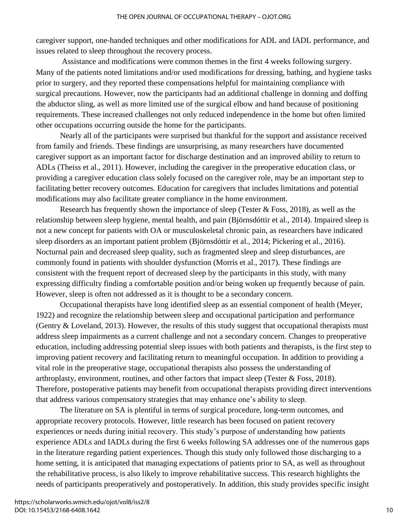caregiver support, one-handed techniques and other modifications for ADL and IADL performance, and issues related to sleep throughout the recovery process.

Assistance and modifications were common themes in the first 4 weeks following surgery. Many of the patients noted limitations and/or used modifications for dressing, bathing, and hygiene tasks prior to surgery, and they reported these compensations helpful for maintaining compliance with surgical precautions. However, now the participants had an additional challenge in donning and doffing the abductor sling, as well as more limited use of the surgical elbow and hand because of positioning requirements. These increased challenges not only reduced independence in the home but often limited other occupations occurring outside the home for the participants.

Nearly all of the participants were surprised but thankful for the support and assistance received from family and friends. These findings are unsurprising, as many researchers have documented caregiver support as an important factor for discharge destination and an improved ability to return to ADLs (Theiss et al., 2011). However, including the caregiver in the preoperative education class, or providing a caregiver education class solely focused on the caregiver role, may be an important step to facilitating better recovery outcomes. Education for caregivers that includes limitations and potential modifications may also facilitate greater compliance in the home environment.

Research has frequently shown the importance of sleep (Tester & Foss, 2018), as well as the relationship between sleep hygiene, mental health, and pain (Björnsdóttir et al., 2014). Impaired sleep is not a new concept for patients with OA or musculoskeletal chronic pain, as researchers have indicated sleep disorders as an important patient problem (Björnsdóttir et al., 2014; Pickering et al., 2016). Nocturnal pain and decreased sleep quality, such as fragmented sleep and sleep disturbances, are commonly found in patients with shoulder dysfunction (Morris et al., 2017). These findings are consistent with the frequent report of decreased sleep by the participants in this study, with many expressing difficulty finding a comfortable position and/or being woken up frequently because of pain. However, sleep is often not addressed as it is thought to be a secondary concern.

Occupational therapists have long identified sleep as an essential component of health (Meyer, 1922) and recognize the relationship between sleep and occupational participation and performance (Gentry & Loveland, 2013). However, the results of this study suggest that occupational therapists must address sleep impairments as a current challenge and not a secondary concern. Changes to preoperative education, including addressing potential sleep issues with both patients and therapists, is the first step to improving patient recovery and facilitating return to meaningful occupation. In addition to providing a vital role in the preoperative stage, occupational therapists also possess the understanding of arthroplasty, environment, routines, and other factors that impact sleep (Tester & Foss, 2018). Therefore, postoperative patients may benefit from occupational therapists providing direct interventions that address various compensatory strategies that may enhance one's ability to sleep.

The literature on SA is plentiful in terms of surgical procedure, long-term outcomes, and appropriate recovery protocols. However, little research has been focused on patient recovery experiences or needs during initial recovery. This study's purpose of understanding how patients experience ADLs and IADLs during the first 6 weeks following SA addresses one of the numerous gaps in the literature regarding patient experiences. Though this study only followed those discharging to a home setting, it is anticipated that managing expectations of patients prior to SA, as well as throughout the rehabilitative process, is also likely to improve rehabilitative success. This research highlights the needs of participants preoperatively and postoperatively. In addition, this study provides specific insight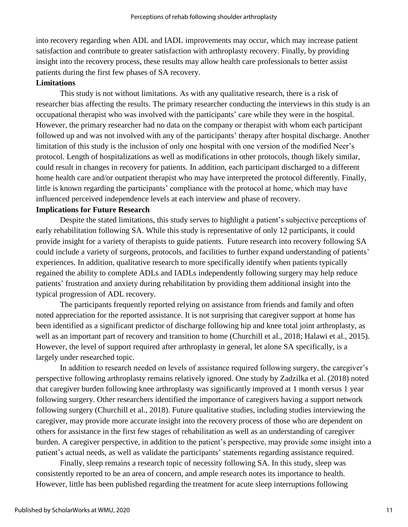into recovery regarding when ADL and IADL improvements may occur, which may increase patient satisfaction and contribute to greater satisfaction with arthroplasty recovery. Finally, by providing insight into the recovery process, these results may allow health care professionals to better assist patients during the first few phases of SA recovery.

## **Limitations**

This study is not without limitations. As with any qualitative research, there is a risk of researcher bias affecting the results. The primary researcher conducting the interviews in this study is an occupational therapist who was involved with the participants' care while they were in the hospital. However, the primary researcher had no data on the company or therapist with whom each participant followed up and was not involved with any of the participants' therapy after hospital discharge. Another limitation of this study is the inclusion of only one hospital with one version of the modified Neer's protocol. Length of hospitalizations as well as modifications in other protocols, though likely similar, could result in changes in recovery for patients. In addition, each participant discharged to a different home health care and/or outpatient therapist who may have interpreted the protocol differently. Finally, little is known regarding the participants' compliance with the protocol at home, which may have influenced perceived independence levels at each interview and phase of recovery.

## **Implications for Future Research**

Despite the stated limitations, this study serves to highlight a patient's subjective perceptions of early rehabilitation following SA. While this study is representative of only 12 participants, it could provide insight for a variety of therapists to guide patients. Future research into recovery following SA could include a variety of surgeons, protocols, and facilities to further expand understanding of patients' experiences. In addition, qualitative research to more specifically identify when patients typically regained the ability to complete ADLs and IADLs independently following surgery may help reduce patients' frustration and anxiety during rehabilitation by providing them additional insight into the typical progression of ADL recovery.

The participants frequently reported relying on assistance from friends and family and often noted appreciation for the reported assistance. It is not surprising that caregiver support at home has been identified as a significant predictor of discharge following hip and knee total joint arthroplasty, as well as an important part of recovery and transition to home (Churchill et al., 2018; Halawi et al., 2015). However, the level of support required after arthroplasty in general, let alone SA specifically, is a largely under researched topic.

In addition to research needed on levels of assistance required following surgery, the caregiver's perspective following arthroplasty remains relatively ignored. One study by Zadzilka et al. (2018) noted that caregiver burden following knee arthroplasty was significantly improved at 1 month versus 1 year following surgery. Other researchers identified the importance of caregivers having a support network following surgery (Churchill et al., 2018). Future qualitative studies, including studies interviewing the caregiver, may provide more accurate insight into the recovery process of those who are dependent on others for assistance in the first few stages of rehabilitation as well as an understanding of caregiver burden. A caregiver perspective, in addition to the patient's perspective, may provide some insight into a patient's actual needs, as well as validate the participants' statements regarding assistance required.

Finally, sleep remains a research topic of necessity following SA. In this study, sleep was consistently reported to be an area of concern, and ample research notes its importance to health. However, little has been published regarding the treatment for acute sleep interruptions following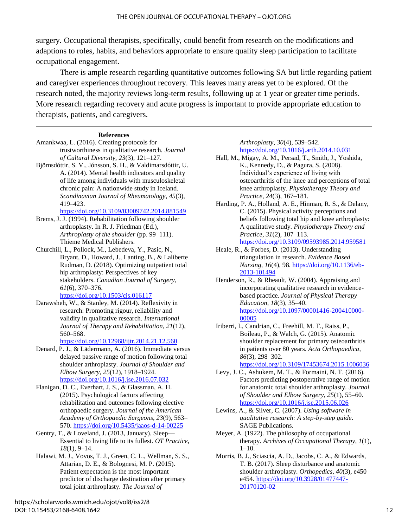surgery. Occupational therapists, specifically, could benefit from research on the modifications and adaptions to roles, habits, and behaviors appropriate to ensure quality sleep participation to facilitate occupational engagement.

There is ample research regarding quantitative outcomes following SA but little regarding patient and caregiver experiences throughout recovery. This leaves many areas yet to be explored. Of the research noted, the majority reviews long-term results, following up at 1 year or greater time periods. More research regarding recovery and acute progress is important to provide appropriate education to therapists, patients, and caregivers.

#### **References**

- Amankwaa, L. (2016). Creating protocols for trustworthiness in qualitative research. *Journal of Cultural Diversity*, *23*(3), 121–127.
- Björnsdóttir, S. V., Jónsson, S. H., & Valdimarsdóttir, U. A. (2014). Mental health indicators and quality of life among individuals with musculoskeletal chronic pain: A nationwide study in Iceland. *Scandinavian Journal of Rheumatology*, *45*(3), 419–423.

<https://doi.org/10.3109/03009742.2014.881549>

- Brems, J. J. (1994). Rehabilitation following shoulder arthroplasty. In R. J. Friedman (Ed.), *Arthroplasty of the shoulder* (pp. 99–111). Thieme Medical Publishers.
- Churchill, L., Pollock, M., Lebedeva, Y., Pasic, N., Bryant, D., Howard, J., Lanting, B., & Laliberte Rudman, D. (2018). Optimizing outpatient total hip arthroplasty: Perspectives of key stakeholders. *Canadian Journal of Surgery*, *61*(6), 370–376. <https://doi.org/10.1503/cjs.016117>
- Darawsheh, W., & Stanley, M. (2014). Reflexivity in research: Promoting rigour, reliability and validity in qualitative research. *International Journal of Therapy and Rehabilitation*, *21*(12), 560–568.

<https://doi.org/10.12968/ijtr.2014.21.12.560>

- Denard, P. J., & Lädermann, A. (2016). Immediate versus delayed passive range of motion following total shoulder arthroplasty. *Journal of Shoulder and Elbow Surgery*, *25*(12), 1918–1924. <https://doi.org/10.1016/j.jse.2016.07.032>
- Flanigan, D. C., Everhart, J. S., & Glassman, A. H. (2015). Psychological factors affecting rehabilitation and outcomes following elective orthopaedic surgery. *Journal of the American Academy of Orthopaedic Surgeons*, *23*(9), 563– 570. <https://doi.org/10.5435/jaaos-d-14-00225>
- Gentry, T., & Loveland, J. (2013, January). Sleep— Essential to living life to its fullest. *OT Practice*, *18*(1), 9–14.
- Halawi, M. J., Vovos, T. J., Green, C. L., Wellman, S. S., Attarian, D. E., & Bolognesi, M. P. (2015). Patient expectation is the most important predictor of discharge destination after primary total joint arthroplasty. *The Journal of*

#### *Arthroplasty*, *30*(4), 539–542. <https://doi.org/10.1016/j.arth.2014.10.031>

- Hall, M., Migay, A. M., Persad, T., Smith, J., Yoshida, K., Kennedy, D., & Pagura, S. (2008). Individual's experience of living with osteoarthritis of the knee and perceptions of total knee arthroplasty. *Physiotherapy Theory and Practice*, *24*(3), 167–181.
- Harding, P. A., Holland, A. E., Hinman, R. S., & Delany, C. (2015). Physical activity perceptions and beliefs following total hip and knee arthroplasty: A qualitative study. *Physiotherapy Theory and Practice*, *31*(2), 107–113. <https://doi.org/10.3109/09593985.2014.959581>
- Heale, R., & Forbes, D. (2013). Understanding triangulation in research. *Evidence Based Nursing*, *16*(4), 98*.* [https://doi.org/10.1136/eb-](https://doi.org/10.1136/eb-2013-101494)[2013-101494](https://doi.org/10.1136/eb-2013-101494)
- Henderson, R., & Rheault, W. (2004). Appraising and incorporating qualitative research in evidencebased practice. *Journal of Physical Therapy Education*, *18*(3), 35–40. [https://doi.org/10.1097/00001416-200410000-](https://doi.org/10.1097/00001416-200410000-00005) [00005](https://doi.org/10.1097/00001416-200410000-00005)
- Iriberri, I., Candrian, C., Freehill, M. T., Raiss, P., Boileau, P., & Walch, G. (2015). Anatomic shoulder replacement for primary osteoarthritis in patients over 80 years. *Acta Orthopaedica*, *86*(3), 298–302.

<https://doi.org/10.3109/17453674.2015.1006036>

- Levy, J. C., Ashukem, M. T., & Formaini, N. T. (2016). Factors predicting postoperative range of motion for anatomic total shoulder arthroplasty. *Journal of Shoulder and Elbow Surgery*, *25*(1), 55–60. <https://doi.org/10.1016/j.jse.2015.06.026>
- Lewins, A., & Silver, C. (2007). *Using software in qualitative research: A step-by-step guide*. SAGE Publications.
- Meyer, A. (1922). The philosophy of occupational therapy. *Archives of Occupational Therapy*, *1*(1),  $1-10.$
- Morris, B. J., Sciascia, A. D., Jacobs, C. A., & Edwards, T. B. (2017). Sleep disturbance and anatomic shoulder arthroplasty. *Orthopedics*, *40*(3), e450– e454[. https://doi.org/10.3928/01477447-](https://doi.org/10.3928/01477447-20170120-02) [20170120-02](https://doi.org/10.3928/01477447-20170120-02)